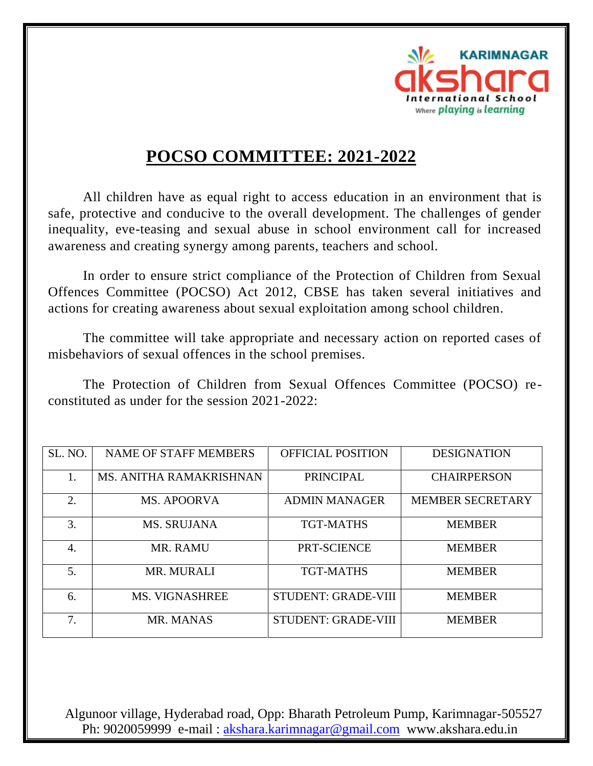

## **POCSO COMMITTEE: 2021-2022**

All children have as equal right to access education in an environment that is safe, protective and conducive to the overall development. The challenges of gender inequality, eve-teasing and sexual abuse in school environment call for increased awareness and creating synergy among parents, teachers and school.

In order to ensure strict compliance of the Protection of Children from Sexual Offences Committee (POCSO) Act 2012, CBSE has taken several initiatives and actions for creating awareness about sexual exploitation among school children.

The committee will take appropriate and necessary action on reported cases of misbehaviors of sexual offences in the school premises.

The Protection of Children from Sexual Offences Committee (POCSO) reconstituted as under for the session 2021-2022:

| SL. NO. | <b>NAME OF STAFF MEMBERS</b> | <b>OFFICIAL POSITION</b>   | <b>DESIGNATION</b>      |
|---------|------------------------------|----------------------------|-------------------------|
| 1.      | MS. ANITHA RAMAKRISHNAN      | <b>PRINCIPAL</b>           | <b>CHAIRPERSON</b>      |
| 2.      | <b>MS. APOORVA</b>           | <b>ADMIN MANAGER</b>       | <b>MEMBER SECRETARY</b> |
| 3.      | <b>MS. SRUJANA</b>           | TGT-MATHS                  | <b>MEMBER</b>           |
| 4.      | MR. RAMU                     | PRT-SCIENCE                | <b>MEMBER</b>           |
| 5.      | <b>MR. MURALI</b>            | TGT-MATHS                  | <b>MEMBER</b>           |
| 6.      | <b>MS. VIGNASHREE</b>        | <b>STUDENT: GRADE-VIII</b> | <b>MEMBER</b>           |
| 7.      | MR. MANAS                    | <b>STUDENT: GRADE-VIII</b> | <b>MEMBER</b>           |

 Algunoor village, Hyderabad road, Opp: Bharath Petroleum Pump, Karimnagar-505527 Ph: 9020059999 e-mail : [akshara.karimnagar@gmail.com](mailto:akshara.karimnagar@gmail.com) www.akshara.edu.in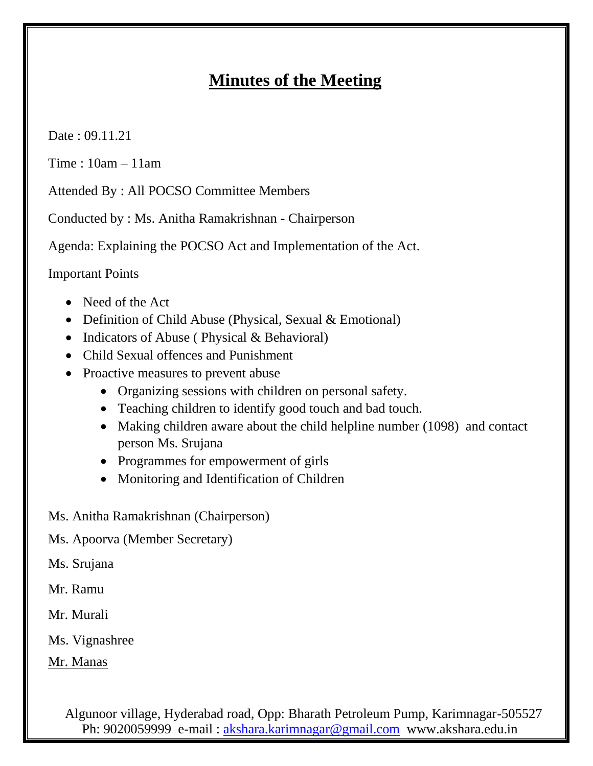## **Minutes of the Meeting**

Date : 09.11.21

Time : 10am – 11am

Attended By : All POCSO Committee Members

Conducted by : Ms. Anitha Ramakrishnan - Chairperson

Agenda: Explaining the POCSO Act and Implementation of the Act.

Important Points

- Need of the Act
- Definition of Child Abuse (Physical, Sexual & Emotional)
- Indicators of Abuse (Physical & Behavioral)
- Child Sexual offences and Punishment
- Proactive measures to prevent abuse
	- Organizing sessions with children on personal safety.
	- Teaching children to identify good touch and bad touch.
	- Making children aware about the child helpline number (1098) and contact person Ms. Srujana
	- Programmes for empowerment of girls
	- Monitoring and Identification of Children
- Ms. Anitha Ramakrishnan (Chairperson)
- Ms. Apoorva (Member Secretary)

Ms. Srujana

- Mr. Ramu
- Mr. Murali

Ms. Vignashree

Mr. Manas

 Algunoor village, Hyderabad road, Opp: Bharath Petroleum Pump, Karimnagar-505527 Ph: 9020059999 e-mail : [akshara.karimnagar@gmail.com](mailto:akshara.karimnagar@gmail.com) www.akshara.edu.in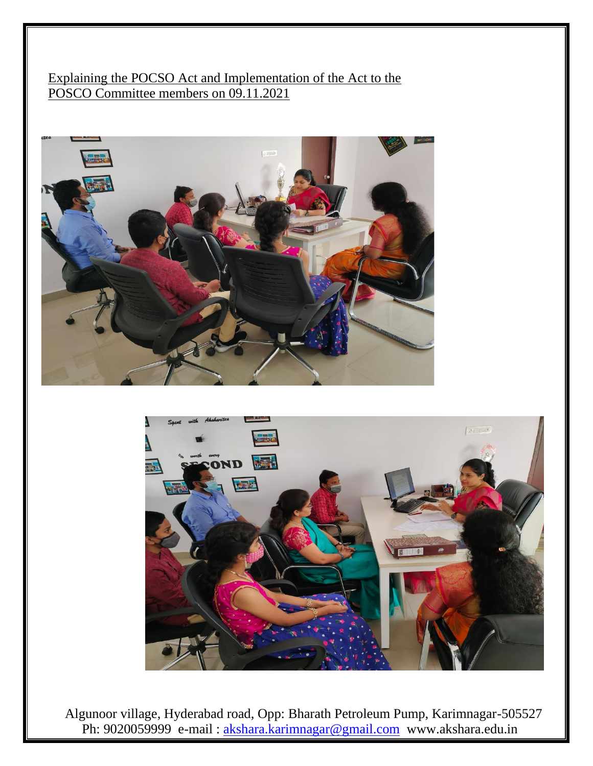Explaining the POCSO Act and Implementation of the Act to the POSCO Committee members on 09.11.2021





 Algunoor village, Hyderabad road, Opp: Bharath Petroleum Pump, Karimnagar-505527 Ph: 9020059999 e-mail : [akshara.karimnagar@gmail.com](mailto:akshara.karimnagar@gmail.com) www.akshara.edu.in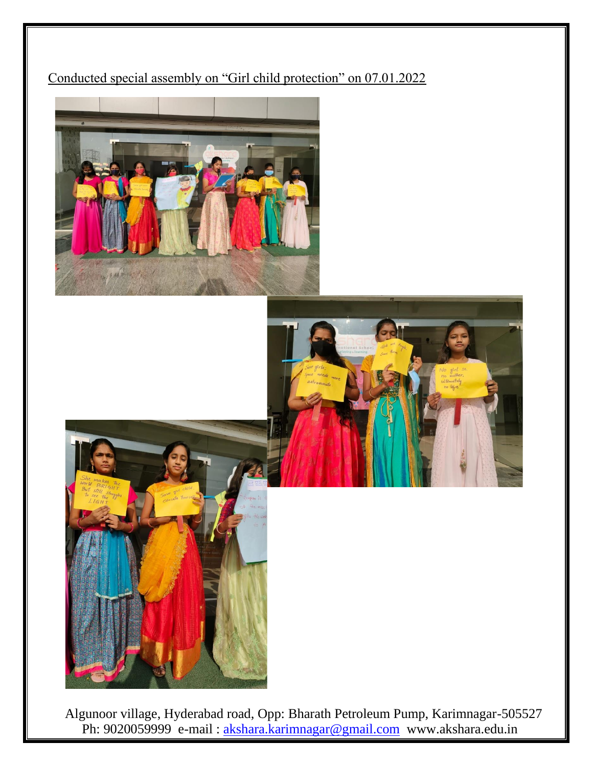## Conducted special assembly on "Girl child protection" on 07.01.2022





 Algunoor village, Hyderabad road, Opp: Bharath Petroleum Pump, Karimnagar-505527 Ph: 9020059999 e-mail : [akshara.karimnagar@gmail.com](mailto:akshara.karimnagar@gmail.com) www.akshara.edu.in